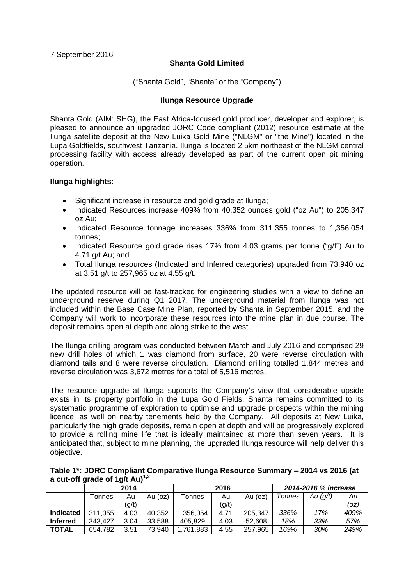# **Shanta Gold Limited**

("Shanta Gold", "Shanta" or the "Company")

## **Ilunga Resource Upgrade**

Shanta Gold (AIM: SHG), the East Africa-focused gold producer, developer and explorer, is pleased to announce an upgraded JORC Code compliant (2012) resource estimate at the Ilunga satellite deposit at the New Luika Gold Mine ("NLGM" or "the Mine") located in the Lupa Goldfields, southwest Tanzania. Ilunga is located 2.5km northeast of the NLGM central processing facility with access already developed as part of the current open pit mining operation.

## **Ilunga highlights:**

- Significant increase in resource and gold grade at Ilunga;
- Indicated Resources increase 409% from 40,352 ounces gold ("oz Au") to 205,347 oz Au;
- Indicated Resource tonnage increases 336% from 311,355 tonnes to 1,356,054 tonnes;
- Indicated Resource gold grade rises 17% from 4.03 grams per tonne ("g/t") Au to 4.71 g/t Au; and
- Total Ilunga resources (Indicated and Inferred categories) upgraded from 73,940 oz at 3.51 g/t to 257,965 oz at 4.55 g/t.

The updated resource will be fast-tracked for engineering studies with a view to define an underground reserve during Q1 2017. The underground material from Ilunga was not included within the Base Case Mine Plan, reported by Shanta in September 2015, and the Company will work to incorporate these resources into the mine plan in due course. The deposit remains open at depth and along strike to the west.

The Ilunga drilling program was conducted between March and July 2016 and comprised 29 new drill holes of which 1 was diamond from surface, 20 were reverse circulation with diamond tails and 8 were reverse circulation. Diamond drilling totalled 1,844 metres and reverse circulation was 3,672 metres for a total of 5,516 metres.

The resource upgrade at Ilunga supports the Company's view that considerable upside exists in its property portfolio in the Lupa Gold Fields. Shanta remains committed to its systematic programme of exploration to optimise and upgrade prospects within the mining licence, as well on nearby tenements held by the Company. All deposits at New Luika, particularly the high grade deposits, remain open at depth and will be progressively explored to provide a rolling mine life that is ideally maintained at more than seven years. It is anticipated that, subject to mine planning, the upgraded Ilunga resource will help deliver this objective.

**Table 1\*: JORC Compliant Comparative Ilunga Resource Summary – 2014 vs 2016 (at a cut-off grade of 1g/t Au)1,2**

|                  |                    | 2014          |        |               | 2016          |         | 2014-2016 % increase      |     |      |  |  |
|------------------|--------------------|---------------|--------|---------------|---------------|---------|---------------------------|-----|------|--|--|
|                  | <sup>-</sup> onnes | Au (oz)<br>Au |        | <b>Tonnes</b> | Au (oz)<br>Au |         | Au (g/t)<br><b>Tonnes</b> |     | Au   |  |  |
|                  |                    | (g/t)         |        |               | (g/t)         |         |                           |     | (oz) |  |  |
| <b>Indicated</b> | 311,355            | 4.03          | 40,352 | 1,356,054     | 4.71          | 205,347 | 336%                      | 17% | 409% |  |  |
| <b>Inferred</b>  | 343,427            | 3.04          | 33.588 | 405.829       | 4.03          | 52.608  | 18%                       | 33% | 57%  |  |  |
| <b>TOTAL</b>     | 654.782            | 3.51          | 73,940 | 1,761,883     | 4.55          | 257,965 | 169%                      | 30% | 249% |  |  |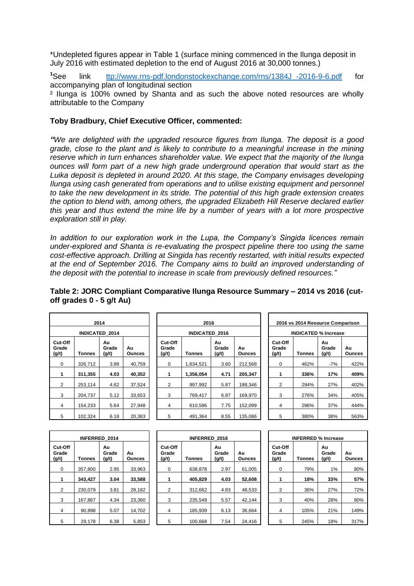\*Undepleted figures appear in Table 1 (surface mining commenced in the Ilunga deposit in July 2016 with estimated depletion to the end of August 2016 at 30,000 tonnes.)

**<sup>1</sup>**See link [ttp://www.rns-pdf.londonstockexchange.com/rns/1384J\\_-2016-9-6.pdf](http://www.rns-pdf.londonstockexchange.com/rns/1384J_-2016-9-6.pdf) for accompanying plan of longitudinal section ² Ilunga is 100% owned by Shanta and as such the above noted resources are wholly attributable to the Company

### **Toby Bradbury, Chief Executive Officer, commented:**

*"We are delighted with the upgraded resource figures from Ilunga. The deposit is a good grade, close to the plant and is likely to contribute to a meaningful increase in the mining reserve which in turn enhances shareholder value. We expect that the majority of the Ilunga ounces will form part of a new high grade underground operation that would start as the Luika deposit is depleted in around 2020. At this stage, the Company envisages developing Ilunga using cash generated from operations and to utilise existing equipment and personnel to take the new development in its stride. The potential of this high grade extension creates the option to blend with, among others, the upgraded Elizabeth Hill Reserve declared earlier this year and thus extend the mine life by a number of years with a lot more prospective exploration still in play.*

*In addition to our exploration work in the Lupa, the Company's Singida licences remain under-explored and Shanta is re-evaluating the prospect pipeline there too using the same cost-effective approach. Drilling at Singida has recently restarted, with initial results expected at the end of September 2016. The Company aims to build an improved understanding of the deposit with the potential to increase in scale from previously defined resources."*

|                           |               | 2014                  |                     |                           | 2016                  |                      |                     | 2016 vs 2014 Resource Comparison |                             |               |                      |                     |
|---------------------------|---------------|-----------------------|---------------------|---------------------------|-----------------------|----------------------|---------------------|----------------------------------|-----------------------------|---------------|----------------------|---------------------|
|                           |               | <b>INDICATED 2014</b> |                     |                           | <b>INDICATED 2016</b> |                      |                     |                                  | <b>INDICATED % Increase</b> |               |                      |                     |
| Cut-Off<br>Grade<br>(g/t) | <b>Tonnes</b> | Au<br>Grade<br>(g/t)  | Au<br><b>Ounces</b> | Cut-Off<br>Grade<br>(g/t) | <b>Tonnes</b>         | Au<br>Grade<br>(g/t) | Au<br><b>Ounces</b> | (g/t)                            | Cut-Off<br>Grade            | <b>Tonnes</b> | Au<br>Grade<br>(g/t) | Au<br><b>Ounces</b> |
| 0                         | 326.712       | 3.88                  | 40.759              | 0                         | 1.834.521             | 3.60                 | 212,568             |                                  | $\Omega$                    | 462%          | $-7%$                | 422%                |
| 1                         | 311,355       | 4.03                  | 40,352              |                           | 1,356,054             | 4.71                 | 205,347             |                                  |                             | 336%          | 17%                  | 409%                |
| 2                         | 253.114       | 4.62                  | 37,524              | 2                         | 997.992               | 5.87                 | 188.346             |                                  | 2                           | 294%          | 27%                  | 402%                |
| 3                         | 204.737       | 5.12                  | 33,653              | 3                         | 769,417               | 6.87                 | 169,970             |                                  | 3                           | 276%          | 34%                  | 405%                |
| 4                         | 154.233       | 5.64                  | 27,948              | 4                         | 610.586               | 7.75                 | 152,099             |                                  | 4                           | 296%          | 37%                  | 444%                |
| 5                         | 102.324       | 6.18                  | 20,383              | 5                         | 491.364               | 8.55                 | 135,086             |                                  | 5                           | 380%          | 38%                  | 563%                |

**Table 2: JORC Compliant Comparative Ilunga Resource Summary – 2014 vs 2016 (cutoff grades 0 - 5 g/t Au)**

|         | 2014                  |              |                           | 2016                  |                      | 2016 vs 2014 Resource Comparison |                             |        |                      |             |
|---------|-----------------------|--------------|---------------------------|-----------------------|----------------------|----------------------------------|-----------------------------|--------|----------------------|-------------|
|         | <b>INDICATED 2014</b> |              |                           | <b>INDICATED 2016</b> |                      |                                  | <b>INDICATED % Increase</b> |        |                      |             |
| Tonnes  | Au<br>Grade<br>(g/t)  | Au<br>Ounces | Cut-Off<br>Grade<br>(g/t) | Tonnes                | Au<br>Grade<br>(g/t) | Au<br><b>Ounces</b>              | Cut-Off<br>Grade<br>(g/t)   | Tonnes | Au<br>Grade<br>(g/t) | Au<br>Ounce |
| 326,712 | 3.88                  | 40.759       | $\Omega$                  | 1.834.521             | 3.60                 | 212.568                          | $\Omega$                    | 462%   | $-7%$                | 422         |
| 311,355 | 4.03                  | 40,352       |                           | 1,356,054             | 4.71                 | 205,347                          |                             | 336%   | 17%                  | 409         |
| 253.114 | 4.62                  | 37,524       | 2                         | 997.992               | 5.87                 | 188.346                          | 2                           | 294%   | 27%                  | 402         |
| 204.737 | 5.12                  | 33,653       | 3                         | 769,417               | 6.87                 | 169,970                          | 3                           | 276%   | 34%                  | 405         |
| 154,233 | 5.64                  | 27.948       | 4                         | 610.586               | 7.75                 | 152.099                          | 4                           | 296%   | 37%                  | 444         |
| 102,324 | 6.18                  | 20.383       | 5                         | 491.364               | 8.55                 | 135,086                          | 5                           | 380%   | 38%                  | 563         |

| 2016 vs 2014 Resource Comparison |               |                      |              |  |  |  |  |  |  |  |  |  |
|----------------------------------|---------------|----------------------|--------------|--|--|--|--|--|--|--|--|--|
| <b>INDICATED % Increase</b>      |               |                      |              |  |  |  |  |  |  |  |  |  |
| Cut-Off<br>Grade<br>(q/t)        | <b>Tonnes</b> | Au<br>Grade<br>(q/t) | Αu<br>Ounces |  |  |  |  |  |  |  |  |  |
| 0                                | 462%          | $-7%$                | 422%         |  |  |  |  |  |  |  |  |  |
| 1                                | 336%          | 17%                  | 409%         |  |  |  |  |  |  |  |  |  |
| 2                                | 294%          | 27%                  | 402%         |  |  |  |  |  |  |  |  |  |
| 3                                | 276%          | 34%                  | 405%         |  |  |  |  |  |  |  |  |  |
| 4                                | 296%          | 37%                  | 444%         |  |  |  |  |  |  |  |  |  |
| 5                                | 380%          | 38%                  | 563%         |  |  |  |  |  |  |  |  |  |

| <b>INFERRED 2014</b>      |               |                      |              |  |  |  |  |  |  |  |  |  |
|---------------------------|---------------|----------------------|--------------|--|--|--|--|--|--|--|--|--|
| Cut-Off<br>Grade<br>(g/t) | <b>Tonnes</b> | Αu<br>Grade<br>(g/t) | Αu<br>Ounces |  |  |  |  |  |  |  |  |  |
| 0                         | 357,800       | 2.95                 | 33,963       |  |  |  |  |  |  |  |  |  |
| 1                         | 343,427       | 3.04                 | 33,588       |  |  |  |  |  |  |  |  |  |
| 2                         | 230,079       | 3.81                 | 28,182       |  |  |  |  |  |  |  |  |  |
| 3                         | 167,867       | 4.34                 | 23,360       |  |  |  |  |  |  |  |  |  |
| 4                         | 90,898        | 5.07                 | 14,702       |  |  |  |  |  |  |  |  |  |
| 5                         | 29.178        | 6.38                 | 5.853        |  |  |  |  |  |  |  |  |  |

| <b>INFERRED 2014</b> |         |                      |                     |  |                           | <b>INFERRED 2016</b> |                      | <b>INFERRED % Increase</b> |                           |        |                      |                     |  |  |
|----------------------|---------|----------------------|---------------------|--|---------------------------|----------------------|----------------------|----------------------------|---------------------------|--------|----------------------|---------------------|--|--|
| l-Off<br>ıde         | Tonnes  | Au<br>Grade<br>(g/t) | Au<br><b>Ounces</b> |  | Cut-Off<br>Grade<br>(g/t) | <b>Tonnes</b>        | Au<br>Grade<br>(g/t) | Au<br>Ounces               | Cut-Off<br>Grade<br>(g/t) | Tonnes | Au<br>Grade<br>(g/t) | Au<br><b>Ounces</b> |  |  |
| 0                    | 357.800 | 2.95                 | 33.963              |  | 0                         | 638.878              | 2.97                 | 61.005                     | 0                         | 79%    | 1%                   | 80%                 |  |  |
| 1                    | 343.427 | 3.04                 | 33.588              |  |                           | 405.829              | 4.03                 | 52,608                     |                           | 18%    | 33%                  | 57%                 |  |  |
| 2                    | 230.079 | 3.81                 | 28,182              |  | 2                         | 312.662              | 4.83                 | 48.533                     | 2                         | 36%    | 27%                  | <b>72%</b>          |  |  |
| 3                    | 167.867 | 4.34                 | 23.360              |  | 3                         | 235.549              | 5.57                 | 42.144                     | 3                         | 40%    | 28%                  | 80%                 |  |  |
| 4                    | 90.898  | 5.07                 | 14,702              |  | 4                         | 185.939              | 6.13                 | 36,664                     | 4                         | 105%   | 21%                  | 149%                |  |  |
| 5                    | 29.178  | 6.38                 | 5,853               |  | 5                         | 100.668              | 7.54                 | 24,416                     | 5                         | 245%   | 18%                  | 317%                |  |  |

| <b>INFERRED % Increase</b> |               |                      |              |  |  |  |  |  |  |  |  |
|----------------------------|---------------|----------------------|--------------|--|--|--|--|--|--|--|--|
| Cut-Off<br>Grade<br>(g/t)  | <b>Tonnes</b> | Au<br>Grade<br>(g/t) | Αu<br>Ounces |  |  |  |  |  |  |  |  |
| 0                          | 79%           | 1%                   | 80%          |  |  |  |  |  |  |  |  |
|                            | 18%           | 33%                  | 57%          |  |  |  |  |  |  |  |  |
| 2                          | 36%           | 27%                  | 72%          |  |  |  |  |  |  |  |  |
| 3                          | 40%           | 28%                  | 80%          |  |  |  |  |  |  |  |  |
| 4                          | 105%          | 21%                  | 149%         |  |  |  |  |  |  |  |  |
| 5                          | 245%          | 18%                  | 317%         |  |  |  |  |  |  |  |  |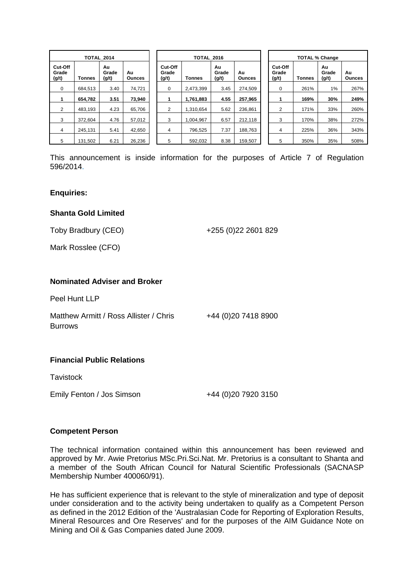|                           |               | <b>TOTAL 2014</b>    |                     |                           | <b>TOTAL 2016</b> |                      |                     | <b>TOTAL % Change</b> |                           |               |                      |                     |
|---------------------------|---------------|----------------------|---------------------|---------------------------|-------------------|----------------------|---------------------|-----------------------|---------------------------|---------------|----------------------|---------------------|
| Cut-Off<br>Grade<br>(g/t) | <b>Tonnes</b> | Au<br>Grade<br>(g/t) | Au<br><b>Ounces</b> | Cut-Off<br>Grade<br>(g/t) | <b>Tonnes</b>     | Au<br>Grade<br>(g/t) | Au<br><b>Ounces</b> |                       | Cut-Off<br>Grade<br>(g/t) | <b>Tonnes</b> | Au<br>Grade<br>(g/t) | Au<br><b>Ounces</b> |
| 0                         | 684.513       | 3.40                 | 74,721              | 0                         | 2.473.399         | 3.45                 | 274.509             |                       | 0                         | 261%          | 1%                   | 267%                |
|                           | 654.782       | 3.51                 | 73,940              |                           | 1,761,883         | 4.55                 | 257,965             |                       |                           | 169%          | 30%                  | 249%                |
| $\overline{2}$            | 483.193       | 4.23                 | 65.706              | 2                         | 1.310.654         | 5.62                 | 236,861             |                       | 2                         | 171%          | 33%                  | 260%                |
| 3                         | 372.604       | 4.76                 | 57,012              | 3                         | 1.004.967         | 6.57                 | 212,118             |                       | 3                         | 170%          | 38%                  | 272%                |
| 4                         | 245.131       | 5.41                 | 42,650              | 4                         | 796.525           | 7.37                 | 188,763             |                       | 4                         | 225%          | 36%                  | 343%                |
| 5                         | 131,502       | 6.21                 | 26,236              | 5                         | 592.032           | 8.38                 | 159,507             |                       | 5                         | 350%          | 35%                  | 508%                |

This announcement is inside information for the purposes of Article 7 of Regulation 596/2014.

#### **Enquiries:**

#### **Shanta Gold Limited**

Toby Bradbury (CEO)

+255 (0)22 2601 829

Mark Rosslee (CFO)

#### **Nominated Adviser and Broker**

Peel Hunt LLP

Matthew Armitt / Ross Allister / Chris **Burrows** 

+44 (0)20 7418 8900

### **Financial Public Relations**

**Tavistock** 

Emily Fenton / Jos Simson +44 (0)20 7920 3150

#### **Competent Person**

The technical information contained within this announcement has been reviewed and approved by Mr. Awie Pretorius MSc.Pri.Sci.Nat. Mr. Pretorius is a consultant to Shanta and a member of the South African Council for Natural Scientific Professionals (SACNASP Membership Number 400060/91).

He has sufficient experience that is relevant to the style of mineralization and type of deposit under consideration and to the activity being undertaken to qualify as a Competent Person as defined in the 2012 Edition of the 'Australasian Code for Reporting of Exploration Results, Mineral Resources and Ore Reserves' and for the purposes of the AIM Guidance Note on Mining and Oil & Gas Companies dated June 2009.